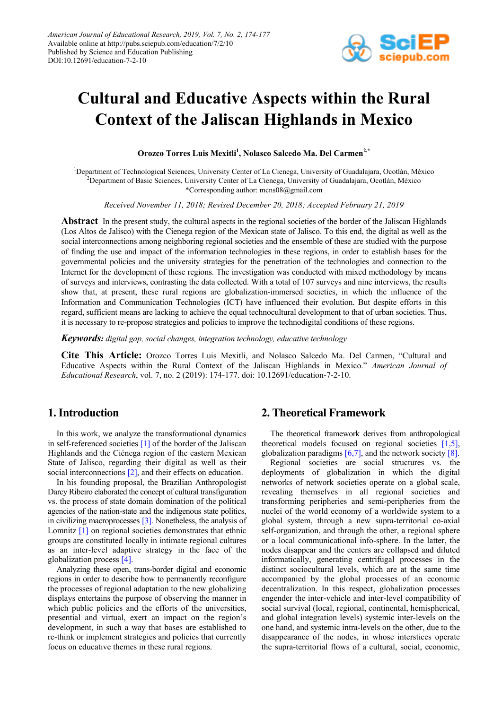

# **Cultural and Educative Aspects within the Rural Context of the Jaliscan Highlands in Mexico**

**Orozco Torres Luis Mexitli1 , Nolasco Salcedo Ma. Del Carmen2,\***

<sup>1</sup>Department of Technological Sciences, University Center of La Cienega, University of Guadalajara, Ocotlán, México 2 Department of Basic Sciences, University Center of La Cienega, University of Guadalajara, Ocotlán, México \*Corresponding author: mcns08@gmail.com

*Received November 11, 2018; Revised December 20, 2018; Accepted February 21, 2019*

**Abstract** In the present study, the cultural aspects in the regional societies of the border of the Jaliscan Highlands (Los Altos de Jalisco) with the Cienega region of the Mexican state of Jalisco. To this end, the digital as well as the social interconnections among neighboring regional societies and the ensemble of these are studied with the purpose of finding the use and impact of the information technologies in these regions, in order to establish bases for the governmental policies and the university strategies for the penetration of the technologies and connection to the Internet for the development of these regions. The investigation was conducted with mixed methodology by means of surveys and interviews, contrasting the data collected. With a total of 107 surveys and nine interviews, the results show that, at present, these rural regions are globalization-immersed societies, in which the influence of the Information and Communication Technologies (ICT) have influenced their evolution. But despite efforts in this regard, sufficient means are lacking to achieve the equal technocultural development to that of urban societies. Thus, it is necessary to re-propose strategies and policies to improve the technodigital conditions of these regions.

*Keywords: digital gap, social changes, integration technology, educative technology*

**Cite This Article:** Orozco Torres Luis Mexitli, and Nolasco Salcedo Ma. Del Carmen, "Cultural and Educative Aspects within the Rural Context of the Jaliscan Highlands in Mexico." *American Journal of Educational Research*, vol. 7, no. 2 (2019): 174-177. doi: 10.12691/education-7-2-10.

## **1. Introduction**

In this work, we analyze the transformational dynamics in self-referenced societies  $[1]$  of the border of the Jaliscan Highlands and the Ciénega region of the eastern Mexican State of Jalisco, regarding their digital as well as their social interconnections [\[2\],](#page-3-1) and their effects on education.

In his founding proposal, the Brazilian Anthropologist Darcy Ribeiro elaborated the concept of cultural transfiguration vs. the process of state domain domination of the political agencies of the nation-state and the indigenous state politics, in civilizing macroprocesses [\[3\].](#page-3-2) Nonetheless, the analysis of Lomnitz [\[1\]](#page-3-0) on regional societies demonstrates that ethnic groups are constituted locally in intimate regional cultures as an inter-level adaptive strategy in the face of the globalization process [\[4\].](#page-3-3)

Analyzing these open, trans-border digital and economic regions in order to describe how to permanently reconfigure the processes of regional adaptation to the new globalizing displays entertains the purpose of observing the manner in which public policies and the efforts of the universities, presential and virtual, exert an impact on the region's development, in such a way that bases are established to re-think or implement strategies and policies that currently focus on educative themes in these rural regions.

# **2. Theoretical Framework**

The theoretical framework derives from anthropological theoretical models focused on regional societies [\[1,5\],](#page-3-0) globalization paradigms  $[6,7]$ , and the network society  $[8]$ .

Regional societies are social structures vs. the deployments of globalization in which the digital networks of network societies operate on a global scale, revealing themselves in all regional societies and transforming peripheries and semi-peripheries from the nuclei of the world economy of a worldwide system to a global system, through a new supra-territorial co-axial self-organization, and through the other, a regional sphere or a local communicational info-sphere. In the latter, the nodes disappear and the centers are collapsed and diluted informatically, generating centrifugal processes in the distinct sociocultural levels, which are at the same time accompanied by the global processes of an economic decentralization. In this respect, globalization processes engender the inter-vehicle and inter-level compatibility of social survival (local, regional, continental, hemispherical, and global integration levels) systemic inter-levels on the one hand, and systemic intra-levels on the other, due to the disappearance of the nodes, in whose interstices operate the supra-territorial flows of a cultural, social, economic,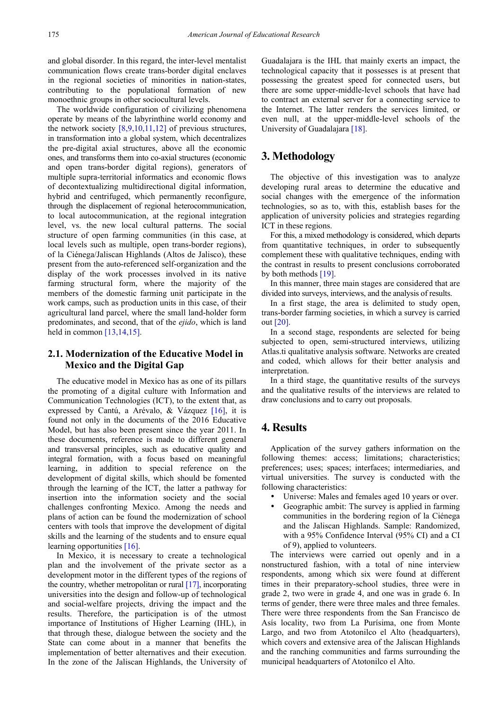and global disorder. In this regard, the inter-level mentalist communication flows create trans-border digital enclaves in the regional societies of minorities in nation-states, contributing to the populational formation of new monoethnic groups in other sociocultural levels.

The worldwide configuration of civilizing phenomena operate by means of the labyrinthine world economy and the network society  $[8,9,10,11,12]$  of previous structures, in transformation into a global system, which decentralizes the pre-digital axial structures, above all the economic ones, and transforms them into co-axial structures (economic and open trans-border digital regions), generators of multiple supra-territorial informatics and economic flows of decontextualizing multidirectional digital information, hybrid and centrifuged, which permanently reconfigure, through the displacement of regional heterocommunication, to local autocommunication, at the regional integration level, vs. the new local cultural patterns. The social structure of open farming communities (in this case, at local levels such as multiple, open trans-border regions), of la Ciénega/Jaliscan Highlands (Altos de Jalisco), these present from the auto-referenced self-organization and the display of the work processes involved in its native farming structural form, where the majority of the members of the domestic farming unit participate in the work camps, such as production units in this case, of their agricultural land parcel, where the small land-holder form predominates, and second, that of the *ejido*, which is land held in common  $[13,14,15]$ .

#### **2.1. Modernization of the Educative Model in Mexico and the Digital Gap**

The educative model in Mexico has as one of its pillars the promoting of a digital culture with Information and Communication Technologies (ICT), to the extent that, as expressed by Cantú, a Arévalo, & Vázquez [\[16\],](#page-3-7) it is found not only in the documents of the 2016 Educative Model, but has also been present since the year 2011. In these documents, reference is made to different general and transversal principles, such as educative quality and integral formation, with a focus based on meaningful learning, in addition to special reference on the development of digital skills, which should be fomented through the learning of the ICT, the latter a pathway for insertion into the information society and the social challenges confronting Mexico. Among the needs and plans of action can be found the modernization of school centers with tools that improve the development of digital skills and the learning of the students and to ensure equal learning opportunities [\[16\].](#page-3-7)

In Mexico, it is necessary to create a technological plan and the involvement of the private sector as a development motor in the different types of the regions of the country, whether metropolitan or rura[l \[17\],](#page-3-8) incorporating universities into the design and follow-up of technological and social-welfare projects, driving the impact and the results. Therefore, the participation is of the utmost importance of Institutions of Higher Learning (IHL), in that through these, dialogue between the society and the State can come about in a manner that benefits the implementation of better alternatives and their execution. In the zone of the Jaliscan Highlands, the University of Guadalajara is the IHL that mainly exerts an impact, the technological capacity that it possesses is at present that possessing the greatest speed for connected users, but there are some upper-middle-level schools that have had to contract an external server for a connecting service to the Internet. The latter renders the services limited, or even null, at the upper-middle-level schools of the University of Guadalajar[a \[18\].](#page-3-9)

#### **3. Methodology**

The objective of this investigation was to analyze developing rural areas to determine the educative and social changes with the emergence of the information technologies, so as to, with this, establish bases for the application of university policies and strategies regarding ICT in these regions.

For this, a mixed methodology is considered, which departs from quantitative techniques, in order to subsequently complement these with qualitative techniques, ending with the contrast in results to present conclusions corroborated by both methods [\[19\].](#page-3-10)

In this manner, three main stages are considered that are divided into surveys, interviews, and the analysis of results.

In a first stage, the area is delimited to study open, trans-border farming societies, in which a survey is carried ou[t \[20\].](#page-3-11)

In a second stage, respondents are selected for being subjected to open, semi-structured interviews, utilizing Atlas.ti qualitative analysis software. Networks are created and coded, which allows for their better analysis and interpretation.

In a third stage, the quantitative results of the surveys and the qualitative results of the interviews are related to draw conclusions and to carry out proposals.

### **4. Results**

Application of the survey gathers information on the following themes: access; limitations; characteristics; preferences; uses; spaces; interfaces; intermediaries, and virtual universities. The survey is conducted with the following characteristics:

- Universe: Males and females aged 10 years or over.
- Geographic ambit: The survey is applied in farming communities in the bordering region of la Ciénega and the Jaliscan Highlands. Sample: Randomized, with a 95% Confidence Interval (95% CI) and a CI of 9), applied to volunteers.

The interviews were carried out openly and in a nonstructured fashion, with a total of nine interview respondents, among which six were found at different times in their preparatory-school studies, three were in grade 2, two were in grade 4, and one was in grade 6. In terms of gender, there were three males and three females. There were three respondents from the San Francisco de Asís locality, two from La Purísima, one from Monte Largo, and two from Atotonilco el Alto (headquarters), which covers and extensive area of the Jaliscan Highlands and the ranching communities and farms surrounding the municipal headquarters of Atotonilco el Alto.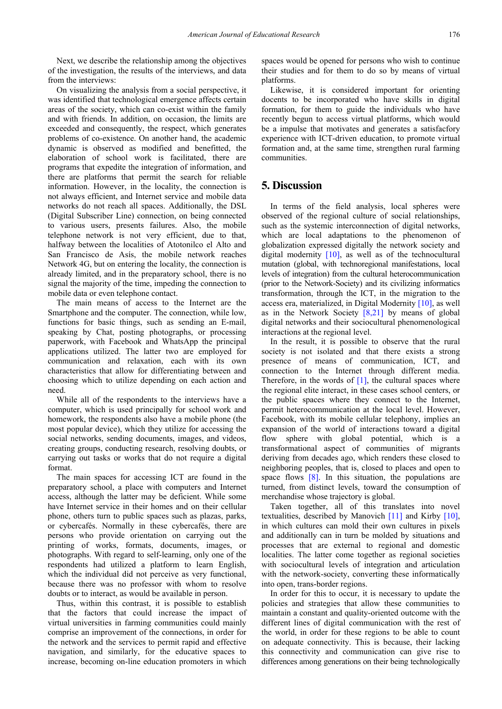Next, we describe the relationship among the objectives of the investigation, the results of the interviews, and data from the interviews:

On visualizing the analysis from a social perspective, it was identified that technological emergence affects certain areas of the society, which can co-exist within the family and with friends. In addition, on occasion, the limits are exceeded and consequently, the respect, which generates problems of co-existence. On another hand, the academic dynamic is observed as modified and benefitted, the elaboration of school work is facilitated, there are programs that expedite the integration of information, and there are platforms that permit the search for reliable information. However, in the locality, the connection is not always efficient, and Internet service and mobile data networks do not reach all spaces. Additionally, the DSL (Digital Subscriber Line) connection, on being connected to various users, presents failures. Also, the mobile telephone network is not very efficient, due to that, halfway between the localities of Atotonilco el Alto and San Francisco de Asís, the mobile network reaches Network 4G, but on entering the locality, the connection is already limited, and in the preparatory school, there is no signal the majority of the time, impeding the connection to mobile data or even telephone contact.

The main means of access to the Internet are the Smartphone and the computer. The connection, while low, functions for basic things, such as sending an E-mail, speaking by Chat, posting photographs, or processing paperwork, with Facebook and WhatsApp the principal applications utilized. The latter two are employed for communication and relaxation, each with its own characteristics that allow for differentiating between and choosing which to utilize depending on each action and need.

While all of the respondents to the interviews have a computer, which is used principally for school work and homework, the respondents also have a mobile phone (the most popular device), which they utilize for accessing the social networks, sending documents, images, and videos, creating groups, conducting research, resolving doubts, or carrying out tasks or works that do not require a digital format.

The main spaces for accessing ICT are found in the preparatory school, a place with computers and Internet access, although the latter may be deficient. While some have Internet service in their homes and on their cellular phone, others turn to public spaces such as plazas, parks, or cybercafés. Normally in these cybercafés, there are persons who provide orientation on carrying out the printing of works, formats, documents, images, or photographs. With regard to self-learning, only one of the respondents had utilized a platform to learn English, which the individual did not perceive as very functional, because there was no professor with whom to resolve doubts or to interact, as would be available in person.

Thus, within this contrast, it is possible to establish that the factors that could increase the impact of virtual universities in farming communities could mainly comprise an improvement of the connections, in order for the network and the services to permit rapid and effective navigation, and similarly, for the educative spaces to increase, becoming on-line education promoters in which

spaces would be opened for persons who wish to continue their studies and for them to do so by means of virtual platforms.

Likewise, it is considered important for orienting docents to be incorporated who have skills in digital formation, for them to guide the individuals who have recently begun to access virtual platforms, which would be a impulse that motivates and generates a satisfacfory experience with ICT-driven education, to promote virtual formation and, at the same time, strengthen rural farming communities.

#### **5. Discussion**

In terms of the field analysis, local spheres were observed of the regional culture of social relationships, such as the systemic interconnection of digital networks, which are local adaptations to the phenomenon of globalization expressed digitally the network society and digital modernity [\[10\],](#page-3-12) as well as of the technocultural mutation (global, with technoregional manifestations, local levels of integration) from the cultural heterocommunication (prior to the Network-Society) and its civilizing informatics transformation, through the ICT, in the migration to the access era, materialized, in Digital Modernity [\[10\],](#page-3-12) as well as in the Network Society  $[8,21]$  by means of global digital networks and their sociocultural phenomenological interactions at the regional level.

In the result, it is possible to observe that the rural society is not isolated and that there exists a strong presence of means of communication, ICT, and connection to the Internet through different media. Therefore, in the words of  $[1]$ , the cultural spaces where the regional elite interact, in these cases school centers, or the public spaces where they connect to the Internet, permit heterocommunication at the local level. However, Facebook, with its mobile cellular telephony, implies an expansion of the world of interactions toward a digital flow sphere with global potential, which is a transformational aspect of communities of migrants deriving from decades ago, which renders these closed to neighboring peoples, that is, closed to places and open to space flows  $[8]$ . In this situation, the populations are turned, from distinct levels, toward the consumption of merchandise whose trajectory is global.

Taken together, all of this translates into novel textualities, described by Manovich [\[11\]](#page-3-13) and Kirby [\[10\],](#page-3-12) in which cultures can mold their own cultures in pixels and additionally can in turn be molded by situations and processes that are external to regional and domestic localities. The latter come together as regional societies with sociocultural levels of integration and articulation with the network-society, converting these informatically into open, trans-border regions.

In order for this to occur, it is necessary to update the policies and strategies that allow these communities to maintain a constant and quality-oriented outcome with the different lines of digital communication with the rest of the world, in order for these regions to be able to count on adequate connectivity. This is because, their lacking this connectivity and communication can give rise to differences among generations on their being technologically